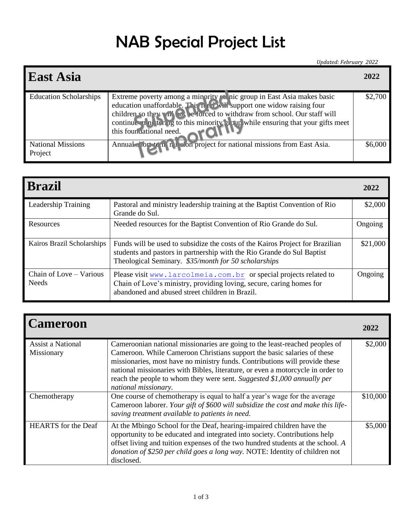## NAB Special Project List

*Updated: February 2022*

| <b>East Asia</b>                    |                                                                                                                                                                                                                                                                                                                                  | 2022    |
|-------------------------------------|----------------------------------------------------------------------------------------------------------------------------------------------------------------------------------------------------------------------------------------------------------------------------------------------------------------------------------|---------|
| <b>Education Scholarships</b>       | Extreme poverty among a minority $\chi$ nic group in East Asia makes basic<br>education unaffordable. This in the support one widow raising four<br>children so they a forced to withdraw from school. Our staff will<br>continue in ni tert is to this minority in the ensuring that your gifts meet<br>this foundational need. | \$2,700 |
| <b>National Missions</b><br>Project | Annual clore to n it sion project for national missions from East Asia.                                                                                                                                                                                                                                                          | \$6,000 |

| <b>Brazil</b>                           |                                                                                                                                                                                                                 | 2022     |
|-----------------------------------------|-----------------------------------------------------------------------------------------------------------------------------------------------------------------------------------------------------------------|----------|
| Leadership Training                     | Pastoral and ministry leadership training at the Baptist Convention of Rio<br>Grande do Sul.                                                                                                                    | \$2,000  |
| Resources                               | Needed resources for the Baptist Convention of Rio Grande do Sul.                                                                                                                                               | Ongoing  |
| Kairos Brazil Scholarships              | Funds will be used to subsidize the costs of the Kairos Project for Brazilian<br>students and pastors in partnership with the Rio Grande do Sul Baptist<br>Theological Seminary. \$35/month for 50 scholarships | \$21,000 |
| Chain of Love – Various<br><b>Needs</b> | Please visit www.larcolmeia.com.br or special projects related to<br>Chain of Love's ministry, providing loving, secure, caring homes for<br>abandoned and abused street children in Brazil.                    | Ongoing  |

| <b>Cameroon</b>                        |                                                                                                                                                                                                                                                                                                                                                                                                                             | 2022     |
|----------------------------------------|-----------------------------------------------------------------------------------------------------------------------------------------------------------------------------------------------------------------------------------------------------------------------------------------------------------------------------------------------------------------------------------------------------------------------------|----------|
| <b>Assist a National</b><br>Missionary | Cameroonian national missionaries are going to the least-reached peoples of<br>Cameroon. While Cameroon Christians support the basic salaries of these<br>missionaries, most have no ministry funds. Contributions will provide these<br>national missionaries with Bibles, literature, or even a motorcycle in order to<br>reach the people to whom they were sent. Suggested \$1,000 annually per<br>national missionary. | \$2,000  |
| Chemotherapy                           | One course of chemotherapy is equal to half a year's wage for the average<br>Cameroon laborer. Your gift of \$600 will subsidize the cost and make this life-<br>saving treatment available to patients in need.                                                                                                                                                                                                            | \$10,000 |
| <b>HEARTS</b> for the Deaf             | At the Mbingo School for the Deaf, hearing-impaired children have the<br>opportunity to be educated and integrated into society. Contributions help<br>offset living and tuition expenses of the two hundred students at the school. A<br>donation of \$250 per child goes a long way. NOTE: Identity of children not<br>disclosed.                                                                                         | \$5,000  |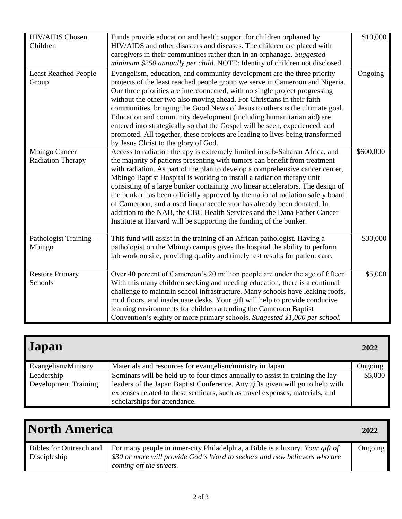| HIV/AIDS Chosen<br>Children                      | Funds provide education and health support for children orphaned by<br>HIV/AIDS and other disasters and diseases. The children are placed with<br>caregivers in their communities rather than in an orphanage. Suggested<br>minimum \$250 annually per child. NOTE: Identity of children not disclosed.                                                                                                                                                                                                                                                                                                                                                                                                              | \$10,000  |
|--------------------------------------------------|----------------------------------------------------------------------------------------------------------------------------------------------------------------------------------------------------------------------------------------------------------------------------------------------------------------------------------------------------------------------------------------------------------------------------------------------------------------------------------------------------------------------------------------------------------------------------------------------------------------------------------------------------------------------------------------------------------------------|-----------|
| <b>Least Reached People</b><br>Group             | Evangelism, education, and community development are the three priority<br>projects of the least reached people group we serve in Cameroon and Nigeria.<br>Our three priorities are interconnected, with no single project progressing<br>without the other two also moving ahead. For Christians in their faith<br>communities, bringing the Good News of Jesus to others is the ultimate goal.<br>Education and community development (including humanitarian aid) are<br>entered into strategically so that the Gospel will be seen, experienced, and<br>promoted. All together, these projects are leading to lives being transformed<br>by Jesus Christ to the glory of God.                                    | Ongoing   |
| <b>Mbingo Cancer</b><br><b>Radiation Therapy</b> | Access to radiation therapy is extremely limited in sub-Saharan Africa, and<br>the majority of patients presenting with tumors can benefit from treatment<br>with radiation. As part of the plan to develop a comprehensive cancer center,<br>Mbingo Baptist Hospital is working to install a radiation therapy unit<br>consisting of a large bunker containing two linear accelerators. The design of<br>the bunker has been officially approved by the national radiation safety board<br>of Cameroon, and a used linear accelerator has already been donated. In<br>addition to the NAB, the CBC Health Services and the Dana Farber Cancer<br>Institute at Harvard will be supporting the funding of the bunker. | \$600,000 |
| Pathologist Training -<br>Mbingo                 | This fund will assist in the training of an African pathologist. Having a<br>pathologist on the Mbingo campus gives the hospital the ability to perform<br>lab work on site, providing quality and timely test results for patient care.                                                                                                                                                                                                                                                                                                                                                                                                                                                                             | \$30,000  |
| <b>Restore Primary</b><br>Schools                | Over 40 percent of Cameroon's 20 million people are under the age of fifteen.<br>With this many children seeking and needing education, there is a continual<br>challenge to maintain school infrastructure. Many schools have leaking roofs,<br>mud floors, and inadequate desks. Your gift will help to provide conducive<br>learning environments for children attending the Cameroon Baptist<br>Convention's eighty or more primary schools. Suggested \$1,000 per school.                                                                                                                                                                                                                                       | \$5,000   |

| Japan                                     |                                                                                                                                                                                                                                                                               | 2022    |
|-------------------------------------------|-------------------------------------------------------------------------------------------------------------------------------------------------------------------------------------------------------------------------------------------------------------------------------|---------|
| Evangelism/Ministry                       | Materials and resources for evangelism/ministry in Japan                                                                                                                                                                                                                      | Ongoing |
| Leadership<br><b>Development Training</b> | Seminars will be held up to four times annually to assist in training the lay<br>leaders of the Japan Baptist Conference. Any gifts given will go to help with<br>expenses related to these seminars, such as travel expenses, materials, and<br>scholarships for attendance. | \$5,000 |

| <b>North America</b>                           |                                                                                                                                                                                       | 2022    |
|------------------------------------------------|---------------------------------------------------------------------------------------------------------------------------------------------------------------------------------------|---------|
| <b>Bibles for Outreach and</b><br>Discipleship | For many people in inner-city Philadelphia, a Bible is a luxury. Your gift of<br>\$30 or more will provide God's Word to seekers and new believers who are<br>coming off the streets. | Ongoing |